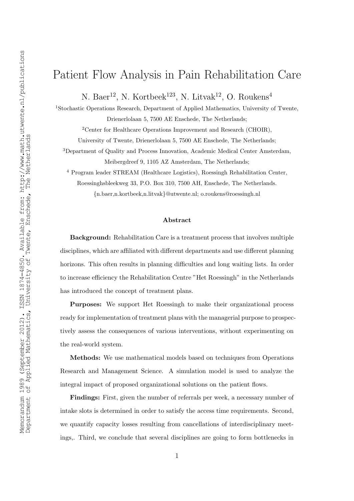# Patient Flow Analysis in Pain Rehabilitation Care

N. Baer<sup>12</sup>, N. Kortbeek<sup>123</sup>, N. Litvak<sup>12</sup>, O. Roukens<sup>4</sup>

<sup>1</sup>Stochastic Operations Research, Department of Applied Mathematics, University of Twente, Drienerlolaan 5, 7500 AE Enschede, The Netherlands;

<sup>2</sup>Center for Healthcare Operations Improvement and Research (CHOIR),

University of Twente, Drienerlolaan 5, 7500 AE Enschede, The Netherlands;

<sup>3</sup>Department of Quality and Process Innovation, Academic Medical Center Amsterdam, Meibergdreef 9, 1105 AZ Amsterdam, The Netherlands;

<sup>4</sup> Program leader STREAM (Healthcare Logistics), Roessingh Rehabilitation Center,

Roessinghsbleekweg 33, P.O. Box 310, 7500 AH, Enschede, The Netherlands.

{n.baer,n.kortbeek,n.litvak}@utwente.nl; o.roukens@roessingh.nl

#### Abstract

Background: Rehabilitation Care is a treatment process that involves multiple disciplines, which are affiliated with different departments and use different planning horizons. This often results in planning difficulties and long waiting lists. In order to increase efficiency the Rehabilitation Centre "Het Roessingh" in the Netherlands has introduced the concept of treatment plans.

Purposes: We support Het Roessingh to make their organizational process ready for implementation of treatment plans with the managerial purpose to prospectively assess the consequences of various interventions, without experimenting on the real-world system.

Methods: We use mathematical models based on techniques from Operations Research and Management Science. A simulation model is used to analyze the integral impact of proposed organizational solutions on the patient flows.

Findings: First, given the number of referrals per week, a necessary number of intake slots is determined in order to satisfy the access time requirements. Second, we quantify capacity losses resulting from cancellations of interdisciplinary meetings,. Third, we conclude that several disciplines are going to form bottlenecks in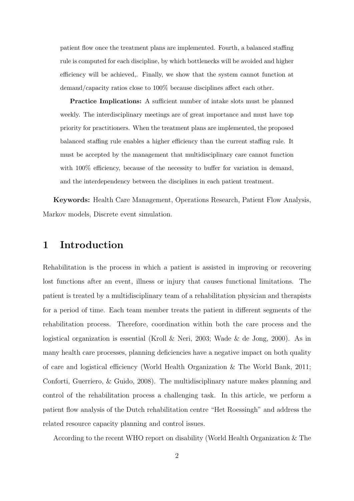patient flow once the treatment plans are implemented. Fourth, a balanced staffing rule is computed for each discipline, by which bottlenecks will be avoided and higher efficiency will be achieved,. Finally, we show that the system cannot function at demand/capacity ratios close to 100% because disciplines affect each other.

Practice Implications: A sufficient number of intake slots must be planned weekly. The interdisciplinary meetings are of great importance and must have top priority for practitioners. When the treatment plans are implemented, the proposed balanced staffing rule enables a higher efficiency than the current staffing rule. It must be accepted by the management that multidisciplinary care cannot function with 100% efficiency, because of the necessity to buffer for variation in demand, and the interdependency between the disciplines in each patient treatment.

Keywords: Health Care Management, Operations Research, Patient Flow Analysis, Markov models, Discrete event simulation.

### 1 Introduction

Rehabilitation is the process in which a patient is assisted in improving or recovering lost functions after an event, illness or injury that causes functional limitations. The patient is treated by a multidisciplinary team of a rehabilitation physician and therapists for a period of time. Each team member treats the patient in different segments of the rehabilitation process. Therefore, coordination within both the care process and the logistical organization is essential (Kroll & Neri, 2003; Wade & de Jong, 2000). As in many health care processes, planning deficiencies have a negative impact on both quality of care and logistical efficiency (World Health Organization & The World Bank, 2011; Conforti, Guerriero, & Guido, 2008). The multidisciplinary nature makes planning and control of the rehabilitation process a challenging task. In this article, we perform a patient flow analysis of the Dutch rehabilitation centre "Het Roessingh" and address the related resource capacity planning and control issues.

According to the recent WHO report on disability (World Health Organization & The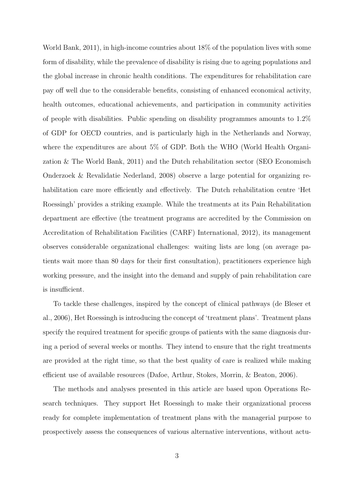World Bank, 2011), in high-income countries about 18% of the population lives with some form of disability, while the prevalence of disability is rising due to ageing populations and the global increase in chronic health conditions. The expenditures for rehabilitation care pay off well due to the considerable benefits, consisting of enhanced economical activity, health outcomes, educational achievements, and participation in community activities of people with disabilities. Public spending on disability programmes amounts to 1.2% of GDP for OECD countries, and is particularly high in the Netherlands and Norway, where the expenditures are about 5% of GDP. Both the WHO (World Health Organization & The World Bank, 2011) and the Dutch rehabilitation sector (SEO Economisch Onderzoek & Revalidatie Nederland, 2008) observe a large potential for organizing rehabilitation care more efficiently and effectively. The Dutch rehabilitation centre 'Het Roessingh' provides a striking example. While the treatments at its Pain Rehabilitation department are effective (the treatment programs are accredited by the Commission on Accreditation of Rehabilitation Facilities (CARF) International, 2012), its management observes considerable organizational challenges: waiting lists are long (on average patients wait more than 80 days for their first consultation), practitioners experience high working pressure, and the insight into the demand and supply of pain rehabilitation care is insufficient.

To tackle these challenges, inspired by the concept of clinical pathways (de Bleser et al., 2006), Het Roessingh is introducing the concept of 'treatment plans'. Treatment plans specify the required treatment for specific groups of patients with the same diagnosis during a period of several weeks or months. They intend to ensure that the right treatments are provided at the right time, so that the best quality of care is realized while making efficient use of available resources (Dafoe, Arthur, Stokes, Morrin, & Beaton, 2006).

The methods and analyses presented in this article are based upon Operations Research techniques. They support Het Roessingh to make their organizational process ready for complete implementation of treatment plans with the managerial purpose to prospectively assess the consequences of various alternative interventions, without actu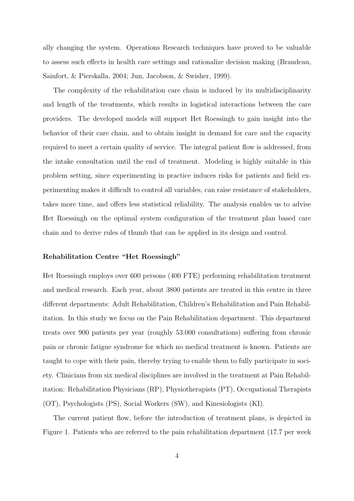ally changing the system. Operations Research techniques have proved to be valuable to assess such effects in health care settings and rationalize decision making (Brandeau, Sainfort, & Pierskalla, 2004; Jun, Jacobson, & Swisher, 1999).

The complexity of the rehabilitation care chain is induced by its multidisciplinarity and length of the treatments, which results in logistical interactions between the care providers. The developed models will support Het Roessingh to gain insight into the behavior of their care chain, and to obtain insight in demand for care and the capacity required to meet a certain quality of service. The integral patient flow is addressed, from the intake consultation until the end of treatment. Modeling is highly suitable in this problem setting, since experimenting in practice induces risks for patients and field experimenting makes it difficult to control all variables, can raise resistance of stakeholders, takes more time, and offers less statistical reliability. The analysis enables us to advise Het Roessingh on the optimal system configuration of the treatment plan based care chain and to derive rules of thumb that can be applied in its design and control.

#### Rehabilitation Centre "Het Roessingh"

Het Roessingh employs over 600 persons (400 FTE) performing rehabilitation treatment and medical research. Each year, about 3800 patients are treated in this centre in three different departments: Adult Rehabilitation, Children's Rehabilitation and Pain Rehabilitation. In this study we focus on the Pain Rehabilitation department. This department treats over 900 patients per year (roughly 53.000 consultations) suffering from chronic pain or chronic fatigue syndrome for which no medical treatment is known. Patients are taught to cope with their pain, thereby trying to enable them to fully participate in society. Clinicians from six medical disciplines are involved in the treatment at Pain Rehabilitation: Rehabilitation Physicians (RP), Physiotherapists (PT), Occupational Therapists (OT), Psychologists (PS), Social Workers (SW), and Kinesiologists (KI).

The current patient flow, before the introduction of treatment plans, is depicted in Figure 1. Patients who are referred to the pain rehabilitation department (17.7 per week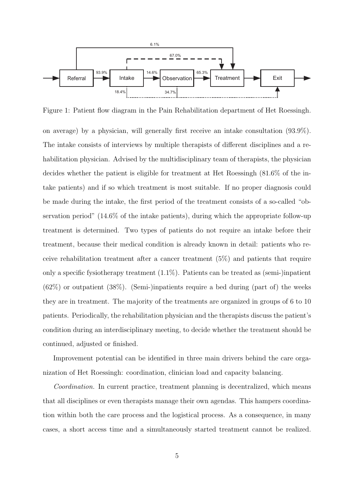

Figure 1: Patient flow diagram in the Pain Rehabilitation department of Het Roessingh.

on average) by a physician, will generally first receive an intake consultation (93.9%). The intake consists of interviews by multiple therapists of different disciplines and a rehabilitation physician. Advised by the multidisciplinary team of therapists, the physician decides whether the patient is eligible for treatment at Het Roessingh (81.6% of the intake patients) and if so which treatment is most suitable. If no proper diagnosis could be made during the intake, the first period of the treatment consists of a so-called "observation period" (14.6% of the intake patients), during which the appropriate follow-up treatment is determined. Two types of patients do not require an intake before their treatment, because their medical condition is already known in detail: patients who receive rehabilitation treatment after a cancer treatment (5%) and patients that require only a specific fysiotherapy treatment (1.1%). Patients can be treated as (semi-)inpatient  $(62%)$  or outpatient  $(38%)$ . (Semi-)inpatients require a bed during (part of) the weeks they are in treatment. The majority of the treatments are organized in groups of 6 to 10 patients. Periodically, the rehabilitation physician and the therapists discuss the patient's condition during an interdisciplinary meeting, to decide whether the treatment should be continued, adjusted or finished.

Improvement potential can be identified in three main drivers behind the care organization of Het Roessingh: coordination, clinician load and capacity balancing.

*Coordination.* In current practice, treatment planning is decentralized, which means that all disciplines or even therapists manage their own agendas. This hampers coordination within both the care process and the logistical process. As a consequence, in many cases, a short access time and a simultaneously started treatment cannot be realized.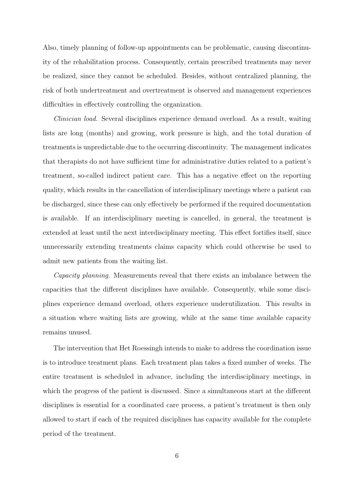Also, timely planning of follow-up appointments can be problematic, causing discontinuity of the rehabilitation process. Consequently, certain prescribed treatments may never be realized, since they cannot be scheduled. Besides, without centralized planning, the risk of both undertreatment and overtreatment is observed and management experiences difficulties in effectively controlling the organization.

*Clinician load.* Several disciplines experience demand overload. As a result, waiting lists are long (months) and growing, work pressure is high, and the total duration of treatments is unpredictable due to the occurring discontinuity. The management indicates that therapists do not have sufficient time for administrative duties related to a patient's treatment, so-called indirect patient care. This has a negative effect on the reporting quality, which results in the cancellation of interdisciplinary meetings where a patient can be discharged, since these can only effectively be performed if the required documentation is available. If an interdisciplinary meeting is cancelled, in general, the treatment is extended at least until the next interdisciplinary meeting. This effect fortifies itself, since unnecessarily extending treatments claims capacity which could otherwise be used to admit new patients from the waiting list.

*Capacity planning.* Measurements reveal that there exists an imbalance between the capacities that the different disciplines have available. Consequently, while some disciplines experience demand overload, others experience underutilization. This results in a situation where waiting lists are growing, while at the same time available capacity remains unused.

The intervention that Het Roessingh intends to make to address the coordination issue is to introduce treatment plans. Each treatment plan takes a fixed number of weeks. The entire treatment is scheduled in advance, including the interdisciplinary meetings, in which the progress of the patient is discussed. Since a simultaneous start at the different disciplines is essential for a coordinated care process, a patient's treatment is then only allowed to start if each of the required disciplines has capacity available for the complete period of the treatment.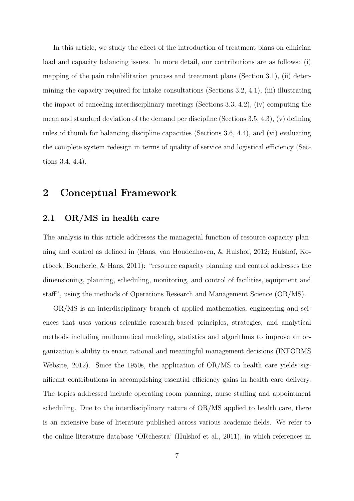In this article, we study the effect of the introduction of treatment plans on clinician load and capacity balancing issues. In more detail, our contributions are as follows: (i) mapping of the pain rehabilitation process and treatment plans (Section 3.1), (ii) determining the capacity required for intake consultations (Sections 3.2, 4.1), (iii) illustrating the impact of canceling interdisciplinary meetings (Sections 3.3, 4.2), (iv) computing the mean and standard deviation of the demand per discipline (Sections 3.5, 4.3), (v) defining rules of thumb for balancing discipline capacities (Sections 3.6, 4.4), and (vi) evaluating the complete system redesign in terms of quality of service and logistical efficiency (Sections 3.4, 4.4).

## 2 Conceptual Framework

### 2.1 OR/MS in health care

The analysis in this article addresses the managerial function of resource capacity planning and control as defined in (Hans, van Houdenhoven, & Hulshof, 2012; Hulshof, Kortbeek, Boucherie, & Hans, 2011): "resource capacity planning and control addresses the dimensioning, planning, scheduling, monitoring, and control of facilities, equipment and staff", using the methods of Operations Research and Management Science (OR/MS).

OR/MS is an interdisciplinary branch of applied mathematics, engineering and sciences that uses various scientific research-based principles, strategies, and analytical methods including mathematical modeling, statistics and algorithms to improve an organization's ability to enact rational and meaningful management decisions (INFORMS Website, 2012). Since the 1950s, the application of OR/MS to health care yields significant contributions in accomplishing essential efficiency gains in health care delivery. The topics addressed include operating room planning, nurse staffing and appointment scheduling. Due to the interdisciplinary nature of OR/MS applied to health care, there is an extensive base of literature published across various academic fields. We refer to the online literature database 'ORchestra' (Hulshof et al., 2011), in which references in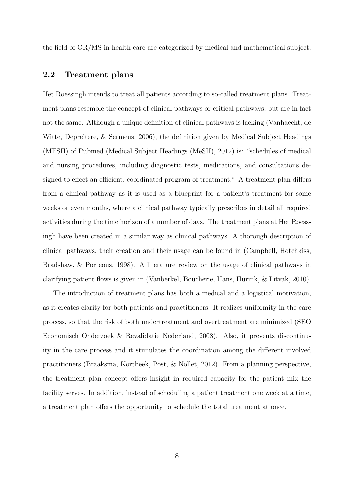the field of OR/MS in health care are categorized by medical and mathematical subject.

### 2.2 Treatment plans

Het Roessingh intends to treat all patients according to so-called treatment plans. Treatment plans resemble the concept of clinical pathways or critical pathways, but are in fact not the same. Although a unique definition of clinical pathways is lacking (Vanhaecht, de Witte, Depreitere, & Sermeus, 2006), the definition given by Medical Subject Headings (MESH) of Pubmed (Medical Subject Headings (MeSH), 2012) is: "schedules of medical and nursing procedures, including diagnostic tests, medications, and consultations designed to effect an efficient, coordinated program of treatment." A treatment plan differs from a clinical pathway as it is used as a blueprint for a patient's treatment for some weeks or even months, where a clinical pathway typically prescribes in detail all required activities during the time horizon of a number of days. The treatment plans at Het Roessingh have been created in a similar way as clinical pathways. A thorough description of clinical pathways, their creation and their usage can be found in (Campbell, Hotchkiss, Bradshaw, & Porteous, 1998). A literature review on the usage of clinical pathways in clarifying patient flows is given in (Vanberkel, Boucherie, Hans, Hurink, & Litvak, 2010).

The introduction of treatment plans has both a medical and a logistical motivation, as it creates clarity for both patients and practitioners. It realizes uniformity in the care process, so that the risk of both undertreatment and overtreatment are minimized (SEO Economisch Onderzoek & Revalidatie Nederland, 2008). Also, it prevents discontinuity in the care process and it stimulates the coordination among the different involved practitioners (Braaksma, Kortbeek, Post, & Nollet, 2012). From a planning perspective, the treatment plan concept offers insight in required capacity for the patient mix the facility serves. In addition, instead of scheduling a patient treatment one week at a time, a treatment plan offers the opportunity to schedule the total treatment at once.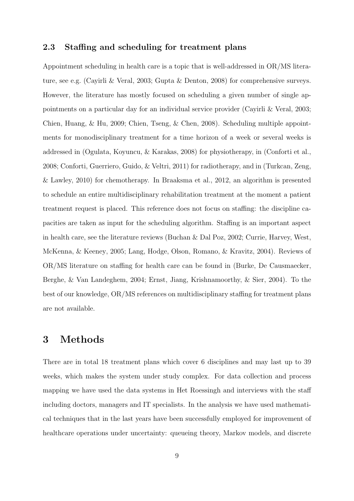### 2.3 Staffing and scheduling for treatment plans

Appointment scheduling in health care is a topic that is well-addressed in OR/MS literature, see e.g. (Cayirli & Veral, 2003; Gupta & Denton, 2008) for comprehensive surveys. However, the literature has mostly focused on scheduling a given number of single appointments on a particular day for an individual service provider (Cayirli & Veral, 2003; Chien, Huang, & Hu, 2009; Chien, Tseng, & Chen, 2008). Scheduling multiple appointments for monodisciplinary treatment for a time horizon of a week or several weeks is addressed in (Ogulata, Koyuncu, & Karakas, 2008) for physiotherapy, in (Conforti et al., 2008; Conforti, Guerriero, Guido, & Veltri, 2011) for radiotherapy, and in (Turkcan, Zeng, & Lawley, 2010) for chemotherapy. In Braaksma et al., 2012, an algorithm is presented to schedule an entire multidisciplinary rehabilitation treatment at the moment a patient treatment request is placed. This reference does not focus on staffing: the discipline capacities are taken as input for the scheduling algorithm. Staffing is an important aspect in health care, see the literature reviews (Buchan & Dal Poz, 2002; Currie, Harvey, West, McKenna, & Keeney, 2005; Lang, Hodge, Olson, Romano, & Kravitz, 2004). Reviews of OR/MS literature on staffing for health care can be found in (Burke, De Causmaecker, Berghe, & Van Landeghem, 2004; Ernst, Jiang, Krishnamoorthy, & Sier, 2004). To the best of our knowledge, OR/MS references on multidisciplinary staffing for treatment plans are not available.

### 3 Methods

There are in total 18 treatment plans which cover 6 disciplines and may last up to 39 weeks, which makes the system under study complex. For data collection and process mapping we have used the data systems in Het Roessingh and interviews with the staff including doctors, managers and IT specialists. In the analysis we have used mathematical techniques that in the last years have been successfully employed for improvement of healthcare operations under uncertainty: queueing theory, Markov models, and discrete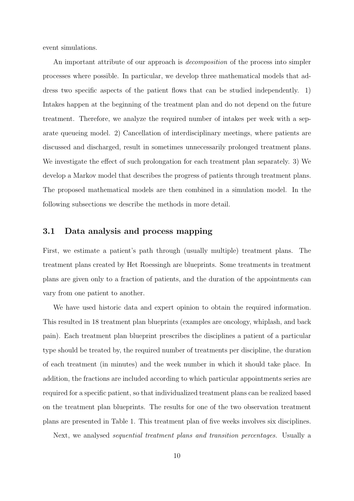event simulations.

An important attribute of our approach is *decomposition* of the process into simpler processes where possible. In particular, we develop three mathematical models that address two specific aspects of the patient flows that can be studied independently. 1) Intakes happen at the beginning of the treatment plan and do not depend on the future treatment. Therefore, we analyze the required number of intakes per week with a separate queueing model. 2) Cancellation of interdisciplinary meetings, where patients are discussed and discharged, result in sometimes unnecessarily prolonged treatment plans. We investigate the effect of such prolongation for each treatment plan separately. 3) We develop a Markov model that describes the progress of patients through treatment plans. The proposed mathematical models are then combined in a simulation model. In the following subsections we describe the methods in more detail.

### 3.1 Data analysis and process mapping

First, we estimate a patient's path through (usually multiple) treatment plans. The treatment plans created by Het Roessingh are blueprints. Some treatments in treatment plans are given only to a fraction of patients, and the duration of the appointments can vary from one patient to another.

We have used historic data and expert opinion to obtain the required information. This resulted in 18 treatment plan blueprints (examples are oncology, whiplash, and back pain). Each treatment plan blueprint prescribes the disciplines a patient of a particular type should be treated by, the required number of treatments per discipline, the duration of each treatment (in minutes) and the week number in which it should take place. In addition, the fractions are included according to which particular appointments series are required for a specific patient, so that individualized treatment plans can be realized based on the treatment plan blueprints. The results for one of the two observation treatment plans are presented in Table 1. This treatment plan of five weeks involves six disciplines.

Next, we analysed *sequential treatment plans and transition percentages.* Usually a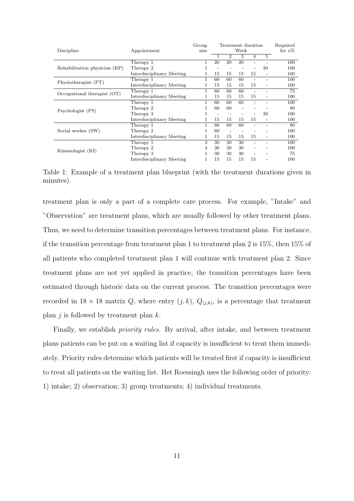|                               |                           | Group | Treatment duration       |                |    |                              |                          | Required  |
|-------------------------------|---------------------------|-------|--------------------------|----------------|----|------------------------------|--------------------------|-----------|
| Discipline                    | Appointment               | size  | Week                     |                |    |                              |                          | for $x\%$ |
|                               |                           |       | 1                        | $\overline{2}$ | 3  | $\overline{4}$               | $\overline{5}$           |           |
| Rehabilitation physician (RP) | Therapy 1                 | 1     | 20                       | 20             | 20 |                              |                          | 100       |
|                               | Therapy 2                 |       | $\qquad \qquad -$        |                |    |                              | 30                       | 100       |
|                               | Interdisciplinary Meeting |       | 15                       | 15             | 15 | 15                           | $\overline{\phantom{a}}$ | 100       |
| Physiotherapist (PT)          | Therapy 1                 | 1     | 60                       | 60             | 60 | $\overline{\phantom{a}}$     | $\overline{a}$           | 100       |
|                               | Interdisciplinary Meeting | 1     | 15                       | 15             | 15 | 15                           | $\overline{\phantom{0}}$ | 100       |
| Occupational therapist $(OT)$ | Therapy 1                 | 1     | 60                       | 60             | 60 | $\overline{\phantom{a}}$     | $\overline{\phantom{0}}$ | 75        |
|                               | Interdisciplinary Meeting | 1     | 15                       | 15             | 15 | 15                           | $\overline{\phantom{0}}$ | 100       |
| Psychologist (PS)             | Therapy 1                 | 1     | 60                       | 60             | 60 |                              |                          | 100       |
|                               | Therapy 2                 |       | 60                       | 60             |    |                              |                          | 80        |
|                               | Therapy 3                 |       | $\overline{\phantom{a}}$ |                |    |                              | 30                       | 100       |
|                               | Interdisciplinary Meeting | 1     | 15                       | 15             | 15 | 15                           | $\overline{\phantom{a}}$ | 100       |
| Social worker (SW)            | Therapy 1                 | 1     | 60                       | 60             | 60 |                              |                          | 80        |
|                               | Therapy 2                 |       | 60                       | $\overline{a}$ |    |                              |                          | 100       |
|                               | Interdisciplinary Meeting | 1     | 15                       | 15             | 15 | 15                           | $\qquad \qquad -$        | 100       |
| Kinesiologist (KI)            | Therapy 1                 | 3     | 30                       | 30             | 30 | $\qquad \qquad \blacksquare$ | $\overline{\phantom{0}}$ | 100       |
|                               | Therapy 2                 | 3     | 30                       | 30             | 30 |                              |                          | 100       |
|                               | Therapy 3                 | 1     | 30                       | 30             | 30 |                              |                          | 75        |
|                               | Interdisciplinary Meeting |       | 15                       | 15             | 15 | 15                           |                          | 100       |

Table 1: Example of a treatment plan blueprint (with the treatment durations given in minutes).

treatment plan is only a part of a complete care process. For example, "Intake" and "Observation" are treatment plans, which are usually followed by other treatment plans. Thus, we need to determine transition percentages between treatment plans. For instance, if the transition percentage from treatment plan 1 to treatment plan 2 is 15%, then 15% of all patients who completed treatment plan 1 will continue with treatment plan 2. Since treatment plans are not yet applied in practice, the transition percentages have been estimated through historic data on the current process. The transition percentages were recorded in  $18 \times 18$  matrix Q, where entry  $(j, k)$ ,  $Q_{(j,k)}$ , is a percentage that treatment plan  $j$  is followed by treatment plan  $k$ .

Finally, we establish *priority rules.* By arrival, after intake, and between treatment plans patients can be put on a waiting list if capacity is insufficient to treat them immediately. Priority rules determine which patients will be treated first if capacity is insufficient to treat all patients on the waiting list. Het Roessingh uses the following order of priority: 1) intake; 2) observation; 3) group treatments; 4) individual treatments.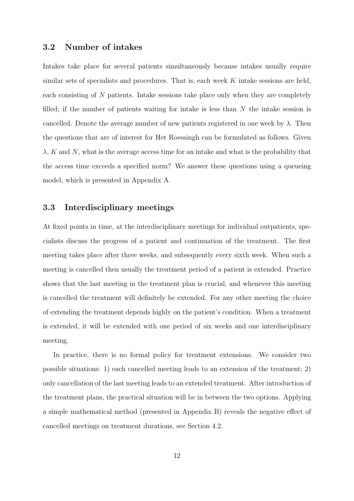#### 3.2 Number of intakes

Intakes take place for several patients simultaneously because intakes usually require similar sets of specialists and procedures. That is, each week  $K$  intake sessions are held, each consisting of N patients. Intake sessions take place only when they are completely filled; if the number of patients waiting for intake is less than  $N$  the intake session is cancelled. Denote the average number of new patients registered in one week by  $\lambda$ . Then the questions that are of interest for Het Roessingh can be formulated as follows. Given  $\lambda$ , K and N, what is the average access time for an intake and what is the probability that the access time exceeds a specified norm? We answer these questions using a queueing model, which is presented in Appendix A.

### 3.3 Interdisciplinary meetings

At fixed points in time, at the interdisciplinary meetings for individual outpatients, specialists discuss the progress of a patient and continuation of the treatment. The first meeting takes place after three weeks, and subsequently every sixth week. When such a meeting is cancelled then usually the treatment period of a patient is extended. Practice shows that the last meeting in the treatment plan is crucial, and whenever this meeting is cancelled the treatment will definitely be extended. For any other meeting the choice of extending the treatment depends highly on the patient's condition. When a treatment is extended, it will be extended with one period of six weeks and one interdisciplinary meeting.

In practice, there is no formal policy for treatment extensions. We consider two possible situations: 1) each cancelled meeting leads to an extension of the treatment; 2) only cancellation of the last meeting leads to an extended treatment. After introduction of the treatment plans, the practical situation will be in between the two options. Applying a simple mathematical method (presented in Appendix B) reveals the negative effect of cancelled meetings on treatment durations, see Section 4.2.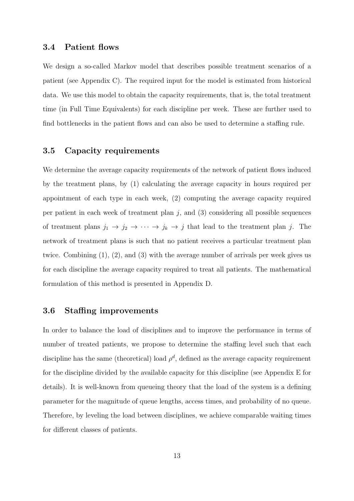#### 3.4 Patient flows

We design a so-called Markov model that describes possible treatment scenarios of a patient (see Appendix C). The required input for the model is estimated from historical data. We use this model to obtain the capacity requirements, that is, the total treatment time (in Full Time Equivalents) for each discipline per week. These are further used to find bottlenecks in the patient flows and can also be used to determine a staffing rule.

#### 3.5 Capacity requirements

We determine the average capacity requirements of the network of patient flows induced by the treatment plans, by (1) calculating the average capacity in hours required per appointment of each type in each week, (2) computing the average capacity required per patient in each week of treatment plan  $j$ , and  $(3)$  considering all possible sequences of treatment plans  $j_1 \to j_2 \to \cdots \to j_k \to j$  that lead to the treatment plan j. The network of treatment plans is such that no patient receives a particular treatment plan twice. Combining (1), (2), and (3) with the average number of arrivals per week gives us for each discipline the average capacity required to treat all patients. The mathematical formulation of this method is presented in Appendix D.

#### 3.6 Staffing improvements

In order to balance the load of disciplines and to improve the performance in terms of number of treated patients, we propose to determine the staffing level such that each discipline has the same (theoretical) load  $\rho^d$ , defined as the average capacity requirement for the discipline divided by the available capacity for this discipline (see Appendix E for details). It is well-known from queueing theory that the load of the system is a defining parameter for the magnitude of queue lengths, access times, and probability of no queue. Therefore, by leveling the load between disciplines, we achieve comparable waiting times for different classes of patients.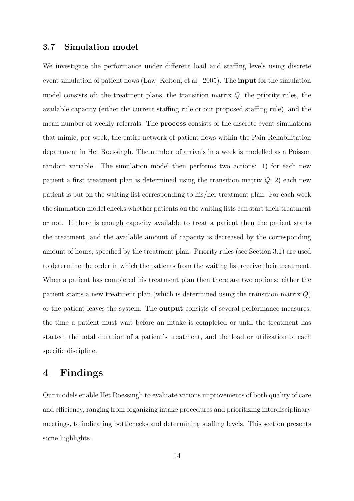#### 3.7 Simulation model

We investigate the performance under different load and staffing levels using discrete event simulation of patient flows (Law, Kelton, et al., 2005). The input for the simulation model consists of: the treatment plans, the transition matrix  $Q$ , the priority rules, the available capacity (either the current staffing rule or our proposed staffing rule), and the mean number of weekly referrals. The process consists of the discrete event simulations that mimic, per week, the entire network of patient flows within the Pain Rehabilitation department in Het Roessingh. The number of arrivals in a week is modelled as a Poisson random variable. The simulation model then performs two actions: 1) for each new patient a first treatment plan is determined using the transition matrix  $Q$ ; 2) each new patient is put on the waiting list corresponding to his/her treatment plan. For each week the simulation model checks whether patients on the waiting lists can start their treatment or not. If there is enough capacity available to treat a patient then the patient starts the treatment, and the available amount of capacity is decreased by the corresponding amount of hours, specified by the treatment plan. Priority rules (see Section 3.1) are used to determine the order in which the patients from the waiting list receive their treatment. When a patient has completed his treatment plan then there are two options: either the patient starts a new treatment plan (which is determined using the transition matrix Q) or the patient leaves the system. The output consists of several performance measures: the time a patient must wait before an intake is completed or until the treatment has started, the total duration of a patient's treatment, and the load or utilization of each specific discipline.

### 4 Findings

Our models enable Het Roessingh to evaluate various improvements of both quality of care and efficiency, ranging from organizing intake procedures and prioritizing interdisciplinary meetings, to indicating bottlenecks and determining staffing levels. This section presents some highlights.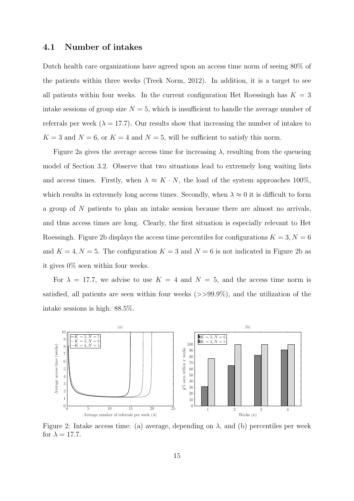#### 4.1 Number of intakes

Dutch health care organizations have agreed upon an access time norm of seeing 80% of the patients within three weeks (Treek Norm, 2012). In addition, it is a target to see all patients within four weeks. In the current configuration Het Roessingh has  $K = 3$ intake sessions of group size  $N = 5$ , which is insufficient to handle the average number of referrals per week ( $\lambda = 17.7$ ). Our results show that increasing the number of intakes to  $K = 3$  and  $N = 6$ , or  $K = 4$  and  $N = 5$ , will be sufficient to satisfy this norm.

Figure 2a gives the average access time for increasing  $\lambda$ , resulting from the queueing model of Section 3.2. Observe that two situations lead to extremely long waiting lists and access times. Firstly, when  $\lambda \approx K \cdot N$ , the load of the system approaches 100%, which results in extremely long access times. Secondly, when  $\lambda \approx 0$  it is difficult to form a group of N patients to plan an intake session because there are almost no arrivals, and thus access times are long. Clearly, the first situation is especially relevant to Het Roessingh. Figure 2b displays the access time percentiles for configurations  $K = 3, N = 6$ and  $K = 4, N = 5$ . The configuration  $K = 3$  and  $N = 6$  is not indicated in Figure 2b as it gives 0% seen within four weeks.

For  $\lambda = 17.7$ , we advise to use  $K = 4$  and  $N = 5$ , and the access time norm is satisfied, all patients are seen within four weeks  $(>>99.9\%)$ , and the utilization of the intake sessions is high: 88.5%.



Figure 2: Intake access time: (a) average, depending on  $\lambda$ , and (b) percentiles per week for  $\lambda = 17.7$ .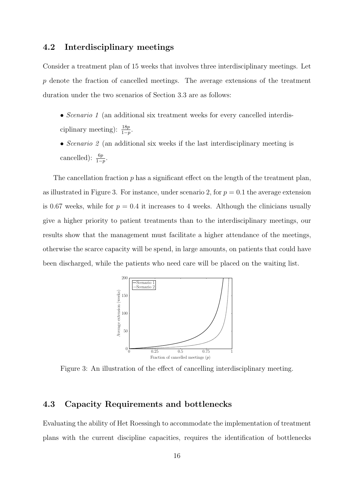### 4.2 Interdisciplinary meetings

Consider a treatment plan of 15 weeks that involves three interdisciplinary meetings. Let p denote the fraction of cancelled meetings. The average extensions of the treatment duration under the two scenarios of Section 3.3 are as follows:

- *Scenario 1* (an additional six treatment weeks for every cancelled interdisciplinary meeting):  $\frac{18p}{1-p}$ .
- *Scenario 2* (an additional six weeks if the last interdisciplinary meeting is cancelled):  $\frac{6p}{1-p}$ .

The cancellation fraction  $p$  has a significant effect on the length of the treatment plan, as illustrated in Figure 3. For instance, under scenario 2, for  $p = 0.1$  the average extension is 0.67 weeks, while for  $p = 0.4$  it increases to 4 weeks. Although the clinicians usually give a higher priority to patient treatments than to the interdisciplinary meetings, our results show that the management must facilitate a higher attendance of the meetings, otherwise the scarce capacity will be spend, in large amounts, on patients that could have been discharged, while the patients who need care will be placed on the waiting list.



Figure 3: An illustration of the effect of cancelling interdisciplinary meeting.

### 4.3 Capacity Requirements and bottlenecks

Evaluating the ability of Het Roessingh to accommodate the implementation of treatment plans with the current discipline capacities, requires the identification of bottlenecks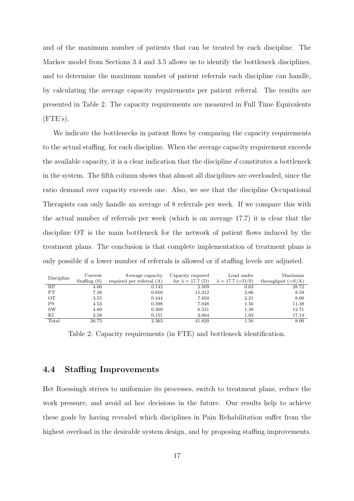and of the maximum number of patients that can be treated by each discipline. The Markov model from Sections 3.4 and 3.5 allows us to identify the bottleneck disciplines, and to determine the maximum number of patient referrals each discipline can handle, by calculating the average capacity requirements per patient referral. The results are presented in Table 2. The capacity requirements are measured in Full Time Equivalents  $(FTE's).$ 

We indicate the bottlenecks in patient flows by comparing the capacity requirements to the actual staffing, for each discipline. When the average capacity requirement exceeds the available capacity, it is a clear indication that the discipline  $d$  constitutes a bottleneck in the system. The fifth column shows that almost all disciplines are overloaded, since the ratio demand over capacity exceeds one. Also, we see that the discipline Occupational Therapists can only handle an average of 8 referrals per week. If we compare this with the actual number of referrals per week (which is on average 17.7) it is clear that the discipline OT is the main bottleneck for the network of patient flows induced by the treatment plans. The conclusion is that complete implementation of treatment plans is only possible if a lower number of referrals is allowed or if staffing levels are adjusted.

| Discipline | Current<br>Staffing $(S)$ | Average capacity<br>required per referral $(A)$ | Capacity required<br>for $\lambda = 17.7$ (D) | Load under<br>$\lambda = 17.7 (=D/S)$ | Maximum<br>throughput $(=\mathrm{S}/\mathrm{A})$ |
|------------|---------------------------|-------------------------------------------------|-----------------------------------------------|---------------------------------------|--------------------------------------------------|
| RP         | 4.00                      | 0.142                                           | 2.509                                         | 0.63                                  | 28.72                                            |
| <b>PT</b>  | 7.38                      | 0.859                                           | 15.212                                        | 2.06                                  | 8.59                                             |
| OТ         | 3.55                      | 0.444                                           | 7.850                                         | 2.21                                  | 8.00                                             |
| PS         | 4.53                      | 0.398                                           | 7.048                                         | 1.56                                  | 11.38                                            |
| <b>SW</b>  | 4.69                      | 0.369                                           | 6.531                                         | 1.39                                  | 12.71                                            |
| ΚI         | 2.58                      | 0.151                                           | 2.664                                         | 1.03                                  | 17.14                                            |
| Total      | 26.73                     | 2.363                                           | 41.820                                        | 1.56                                  | 8.00                                             |

Table 2: Capacity requirements (in FTE) and bottleneck identification.

#### 4.4 Staffing Improvements

Het Roessingh strives to uniformize its processes, switch to treatment plans, reduce the work pressure, and avoid ad hoc decisions in the future. Our results help to achieve these goals by having revealed which disciplines in Pain Rehabilitation suffer from the highest overload in the desirable system design, and by proposing staffing improvements.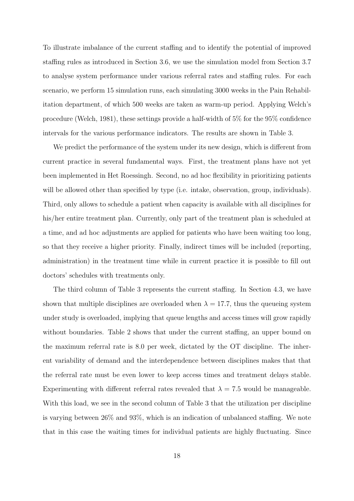To illustrate imbalance of the current staffing and to identify the potential of improved staffing rules as introduced in Section 3.6, we use the simulation model from Section 3.7 to analyse system performance under various referral rates and staffing rules. For each scenario, we perform 15 simulation runs, each simulating 3000 weeks in the Pain Rehabilitation department, of which 500 weeks are taken as warm-up period. Applying Welch's procedure (Welch, 1981), these settings provide a half-width of 5% for the 95% confidence intervals for the various performance indicators. The results are shown in Table 3.

We predict the performance of the system under its new design, which is different from current practice in several fundamental ways. First, the treatment plans have not yet been implemented in Het Roessingh. Second, no ad hoc flexibility in prioritizing patients will be allowed other than specified by type (i.e. intake, observation, group, individuals). Third, only allows to schedule a patient when capacity is available with all disciplines for his/her entire treatment plan. Currently, only part of the treatment plan is scheduled at a time, and ad hoc adjustments are applied for patients who have been waiting too long, so that they receive a higher priority. Finally, indirect times will be included (reporting, administration) in the treatment time while in current practice it is possible to fill out doctors' schedules with treatments only.

The third column of Table 3 represents the current staffing. In Section 4.3, we have shown that multiple disciplines are overloaded when  $\lambda = 17.7$ , thus the queueing system under study is overloaded, implying that queue lengths and access times will grow rapidly without boundaries. Table 2 shows that under the current staffing, an upper bound on the maximum referral rate is 8.0 per week, dictated by the OT discipline. The inherent variability of demand and the interdependence between disciplines makes that that the referral rate must be even lower to keep access times and treatment delays stable. Experimenting with different referral rates revealed that  $\lambda = 7.5$  would be manageable. With this load, we see in the second column of Table 3 that the utilization per discipline is varying between 26% and 93%, which is an indication of unbalanced staffing. We note that in this case the waiting times for individual patients are highly fluctuating. Since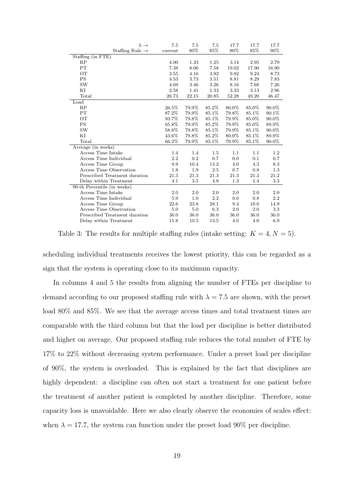| $\lambda \rightarrow$         | 7.5     | 7.5   | 7.5    | 17.7  | 17.7  | 17.7    |
|-------------------------------|---------|-------|--------|-------|-------|---------|
| Staffing Rule $\rightarrow$   | current | 80%   | 85%    | 80%   | 85%   | 90%     |
| Staffing (in FTE)             |         |       |        |       |       |         |
| RP                            | 4.00    | 1.33  | 1.25   | 3.14  | 2.95  | 2.79    |
| PT                            | 7.38    | 8.06  | 7.58   | 19.02 | 17.90 | 16.90   |
| OТ                            | 3.55    | 4.16  | 3.92   | 9.82  | 9.24  | 8.73    |
| <b>PS</b>                     | 4.53    | 3.73  | 3.51   | 8.81  | 8.29  | 7.83    |
| <b>SW</b>                     | 4.69    | 3.46  | 3.26   | 8.16  | 7.68  | 7.26    |
| ΚI                            | 2.58    | 1.41  | 1.33   | 3.33  | 3.13  | 2.96    |
| Total                         | 26.73   | 22.15 | 20.85  | 52.28 | 49.20 | 46.47   |
| Load                          |         |       |        |       |       |         |
| RP                            | 26.5%   | 79.9% | 85.2%  | 80.0% | 85.0% | 90.0%   |
| PT                            | 87.2%   | 79.9% | 85.1%  | 79.8% | 85.1% | 90.1%   |
| <b>OT</b>                     | 93.7%   | 79.8% | 85.1\% | 79.9% | 85.0% | 90.0%   |
| <b>PS</b>                     | 65.8%   | 79.9% | 85.2%  | 79.9% | 85.0% | 89.9%   |
| <b>SW</b>                     | 58.8%   | 79.8% | 85.1%  | 79.9% | 85.1% | 90.0%   |
| ΚI                            | 43.6%   | 79.8% | 85.2%  | 80.0% | 85.1% | 89.9%   |
| Total                         | 66.2%   | 79.9% | 85.1%  | 79.9% | 85.1% | 90.0%   |
| Average (in weeks)            |         |       |        |       |       |         |
| Access Time Intake            | 1.4     | 1.4   | 1.5    | 1.1   | 1.1   | 1.2     |
| Access Time Individual        | 2.2     | 0.2   | 0.7    | 0.0   | 0.1   | 0.7     |
| Access Time Group             | 9.9     | 10.4  | 13.2   | 4.0   | 4.3   | 8.3     |
| Access Time Observation       | 1.8     | 1.9   | 2.5    | 0.7   | 0.8   | 1.3     |
| Prescribed Treatment duration | 21.3    | 21.3  | 21.3   | 21.3  | 21.3  | 21.2    |
| Delay within Treatment        | 4.1     | 3.5   | 4.8    | 1.3   | 1.4   | 3.3     |
| 90-th Percentile (in weeks)   |         |       |        |       |       |         |
| Access Time Intake            | 2.0     | 2.0   | 2.0    | 2.0   | 2.0   | 2.0     |
| Access Time Individual        | 5.9     | 1.0   | 2.2    | 0.0   | 0.8   | $2.2\,$ |
| Access Time Group             | 22.6    | 23.8  | 28.1   | 9.4   | 10.0  | 14.9    |
| Access Time Observation       | 5.0     | 5.0   | 6.3    | 2.0   | 2.0   | 3.3     |
| Prescribed Treatment duration | 36.0    | 36.0  | 36.0   | 36.0  | 36.0  | 36.0    |
| Delay within Treatment        | 11.8    | 10.5  | 13.5   | 4.0   | 4.0   | 6.9     |

Table 3: The results for multiple staffing rules (intake setting:  $K = 4, N = 5$ ).

scheduling individual treatments receives the lowest priority, this can be regarded as a sign that the system is operating close to its maximum capacity.

In columns 4 and 5 the results from aligning the number of FTEs per discipline to demand according to our proposed staffing rule with  $\lambda = 7.5$  are shown, with the preset load 80% and 85%. We see that the average access times and total treatment times are comparable with the third column but that the load per discipline is better distributed and higher on average. Our proposed staffing rule reduces the total number of FTE by 17% to 22% without decreasing system performance. Under a preset load per discipline of 90%, the system is overloaded. This is explained by the fact that disciplines are highly dependent: a discipline can often not start a treatment for one patient before the treatment of another patient is completed by another discipline. Therefore, some capacity loss is unavoidable. Here we also clearly observe the economies of scales effect: when  $\lambda = 17.7$ , the system can function under the preset load 90% per discipline.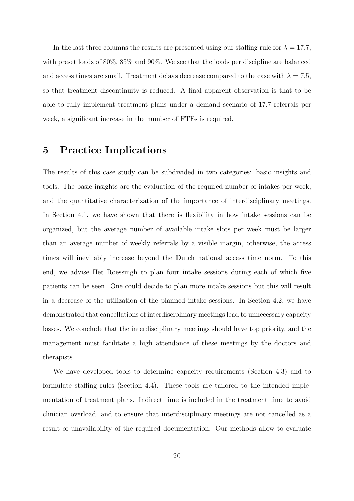In the last three columns the results are presented using our staffing rule for  $\lambda = 17.7$ , with preset loads of 80%, 85% and 90%. We see that the loads per discipline are balanced and access times are small. Treatment delays decrease compared to the case with  $\lambda = 7.5$ , so that treatment discontinuity is reduced. A final apparent observation is that to be able to fully implement treatment plans under a demand scenario of 17.7 referrals per week, a significant increase in the number of FTEs is required.

### 5 Practice Implications

The results of this case study can be subdivided in two categories: basic insights and tools. The basic insights are the evaluation of the required number of intakes per week, and the quantitative characterization of the importance of interdisciplinary meetings. In Section 4.1, we have shown that there is flexibility in how intake sessions can be organized, but the average number of available intake slots per week must be larger than an average number of weekly referrals by a visible margin, otherwise, the access times will inevitably increase beyond the Dutch national access time norm. To this end, we advise Het Roessingh to plan four intake sessions during each of which five patients can be seen. One could decide to plan more intake sessions but this will result in a decrease of the utilization of the planned intake sessions. In Section 4.2, we have demonstrated that cancellations of interdisciplinary meetings lead to unnecessary capacity losses. We conclude that the interdisciplinary meetings should have top priority, and the management must facilitate a high attendance of these meetings by the doctors and therapists.

We have developed tools to determine capacity requirements (Section 4.3) and to formulate staffing rules (Section 4.4). These tools are tailored to the intended implementation of treatment plans. Indirect time is included in the treatment time to avoid clinician overload, and to ensure that interdisciplinary meetings are not cancelled as a result of unavailability of the required documentation. Our methods allow to evaluate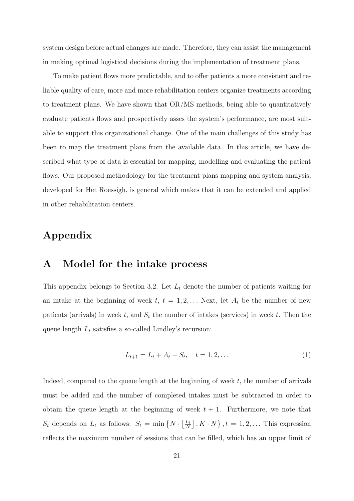system design before actual changes are made. Therefore, they can assist the management in making optimal logistical decisions during the implementation of treatment plans.

To make patient flows more predictable, and to offer patients a more consistent and reliable quality of care, more and more rehabilitation centers organize treatments according to treatment plans. We have shown that OR/MS methods, being able to quantitatively evaluate patients flows and prospectively asses the system's performance, are most suitable to support this organizational change. One of the main challenges of this study has been to map the treatment plans from the available data. In this article, we have described what type of data is essential for mapping, modelling and evaluating the patient flows. Our proposed methodology for the treatment plans mapping and system analysis, developed for Het Roessigh, is general which makes that it can be extended and applied in other rehabilitation centers.

### Appendix

### A Model for the intake process

This appendix belongs to Section 3.2. Let  $L_t$  denote the number of patients waiting for an intake at the beginning of week  $t, t = 1, 2, \ldots$  Next, let  $A_t$  be the number of new patients (arrivals) in week t, and  $S_t$  the number of intakes (services) in week t. Then the queue length  $L_t$  satisfies a so-called Lindley's recursion:

$$
L_{t+1} = L_t + A_t - S_t, \quad t = 1, 2, \dots
$$
 (1)

Indeed, compared to the queue length at the beginning of week  $t$ , the number of arrivals must be added and the number of completed intakes must be subtracted in order to obtain the queue length at the beginning of week  $t + 1$ . Furthermore, we note that  $S_t$  depends on  $L_t$  as follows:  $S_t = \min\left\{N \cdot \left\lfloor\frac{L_t}{N}\right\rfloor\right\}$  $\left[\frac{L_t}{N}\right]$  ,  $K \cdot N$ ,  $t = 1, 2, \ldots$  This expression reflects the maximum number of sessions that can be filled, which has an upper limit of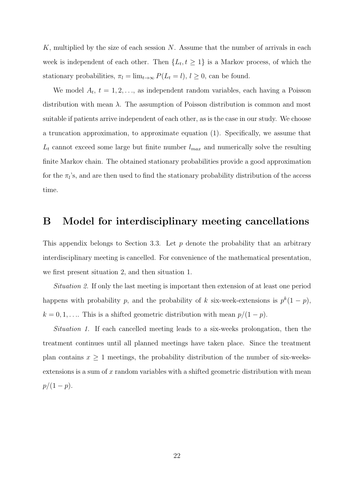K, multiplied by the size of each session N. Assume that the number of arrivals in each week is independent of each other. Then  $\{L_t, t \geq 1\}$  is a Markov process, of which the stationary probabilities,  $\pi_l = \lim_{t \to \infty} P(L_t = l), l \geq 0$ , can be found.

We model  $A_t$ ,  $t = 1, 2, \ldots$ , as independent random variables, each having a Poisson distribution with mean  $\lambda$ . The assumption of Poisson distribution is common and most suitable if patients arrive independent of each other, as is the case in our study. We choose a truncation approximation, to approximate equation (1). Specifically, we assume that  $L_t$  cannot exceed some large but finite number  $l_{max}$  and numerically solve the resulting finite Markov chain. The obtained stationary probabilities provide a good approximation for the  $\pi_l$ 's, and are then used to find the stationary probability distribution of the access time.

# B Model for interdisciplinary meeting cancellations

This appendix belongs to Section 3.3. Let  $p$  denote the probability that an arbitrary interdisciplinary meeting is cancelled. For convenience of the mathematical presentation, we first present situation 2, and then situation 1.

*Situation 2.* If only the last meeting is important then extension of at least one period happens with probability p, and the probability of k six-week-extensions is  $p^k(1-p)$ ,  $k = 0, 1, \ldots$  This is a shifted geometric distribution with mean  $p/(1-p)$ .

*Situation 1.* If each cancelled meeting leads to a six-weeks prolongation, then the treatment continues until all planned meetings have taken place. Since the treatment plan contains  $x \geq 1$  meetings, the probability distribution of the number of six-weeksextensions is a sum of  $x$  random variables with a shifted geometric distribution with mean  $p/(1-p).$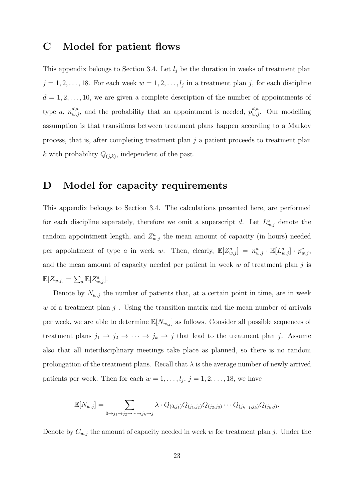### C Model for patient flows

This appendix belongs to Section 3.4. Let  $l_i$  be the duration in weeks of treatment plan  $j = 1, 2, \ldots, 18$ . For each week  $w = 1, 2, \ldots, l_j$  in a treatment plan j, for each discipline  $d = 1, 2, \ldots, 10$ , we are given a complete description of the number of appointments of type a,  $n_{w,j}^{d,a}$ , and the probability that an appointment is needed,  $p_{w,j}^{d,a}$ . Our modelling assumption is that transitions between treatment plans happen according to a Markov process, that is, after completing treatment plan  $j$  a patient proceeds to treatment plan k with probability  $Q_{(j,k)}$ , independent of the past.

### D Model for capacity requirements

This appendix belongs to Section 3.4. The calculations presented here, are performed for each discipline separately, therefore we omit a superscript d. Let  $L^a_{w,j}$  denote the random appointment length, and  $Z_{w,j}^a$  the mean amount of capacity (in hours) needed per appointment of type a in week w. Then, clearly,  $\mathbb{E}[Z_{w,j}^a] = n_{w,j}^a \cdot \mathbb{E}[L_{w,j}^a] \cdot p_{w,j}^a$ and the mean amount of capacity needed per patient in week  $w$  of treatment plan  $j$  is  $\mathbb{E}[Z_{w,j}] = \sum_a \mathbb{E}[Z_{w,j}^a].$ 

Denote by  $N_{w,j}$  the number of patients that, at a certain point in time, are in week w of a treatment plan  $j$ . Using the transition matrix and the mean number of arrivals per week, we are able to determine  $\mathbb{E}[N_{w,j}]$  as follows. Consider all possible sequences of treatment plans  $j_1 \to j_2 \to \cdots \to j_k \to j$  that lead to the treatment plan j. Assume also that all interdisciplinary meetings take place as planned, so there is no random prolongation of the treatment plans. Recall that  $\lambda$  is the average number of newly arrived patients per week. Then for each  $w = 1, \ldots, l_j, j = 1, 2, \ldots, 18$ , we have

$$
\mathbb{E}[N_{w,j}] = \sum_{0 \to j_1 \to j_2 \to \cdots \to j_k \to j} \lambda \cdot Q_{(0,j_1)} Q_{(j_1,j_2)} Q_{(j_2,j_3)} \cdots Q_{(j_{k-1},j_k)} Q_{(j_k,j)}.
$$

Denote by  $C_{w,j}$  the amount of capacity needed in week w for treatment plan j. Under the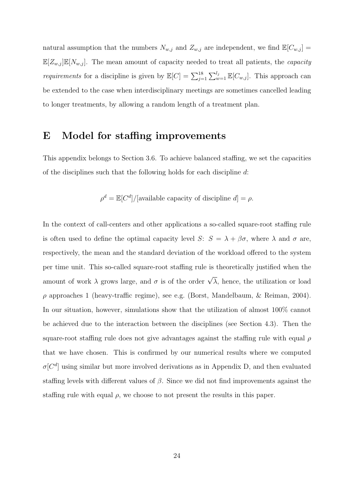natural assumption that the numbers  $N_{w,j}$  and  $Z_{w,j}$  are independent, we find  $\mathbb{E}[C_{w,j}] =$  $\mathbb{E}[Z_{w,j}]\mathbb{E}[N_{w,j}]$ . The mean amount of capacity needed to treat all patients, the *capacity requirements* for a discipline is given by  $\mathbb{E}[C] = \sum_{j=1}^{18} \sum_{w=1}^{l_j} \mathbb{E}[C_{w,j}]$ . This approach can be extended to the case when interdisciplinary meetings are sometimes cancelled leading to longer treatments, by allowing a random length of a treatment plan.

### E Model for staffing improvements

This appendix belongs to Section 3.6. To achieve balanced staffing, we set the capacities of the disciplines such that the following holds for each discipline d:

$$
\rho^d = \mathbb{E}[C^d]/[\text{available capacity of discipline } d] = \rho.
$$

In the context of call-centers and other applications a so-called square-root staffing rule is often used to define the optimal capacity level S:  $S = \lambda + \beta \sigma$ , where  $\lambda$  and  $\sigma$  are, respectively, the mean and the standard deviation of the workload offered to the system per time unit. This so-called square-root staffing rule is theoretically justified when the amount of work  $\lambda$  grows large, and  $\sigma$  is of the order  $\sqrt{\lambda}$ , hence, the utilization or load  $\rho$  approaches 1 (heavy-traffic regime), see e.g. (Borst, Mandelbaum, & Reiman, 2004). In our situation, however, simulations show that the utilization of almost 100% cannot be achieved due to the interaction between the disciplines (see Section 4.3). Then the square-root staffing rule does not give advantages against the staffing rule with equal  $\rho$ that we have chosen. This is confirmed by our numerical results where we computed  $\sigma[C^d]$  using similar but more involved derivations as in Appendix D, and then evaluated staffing levels with different values of  $\beta$ . Since we did not find improvements against the staffing rule with equal  $\rho$ , we choose to not present the results in this paper.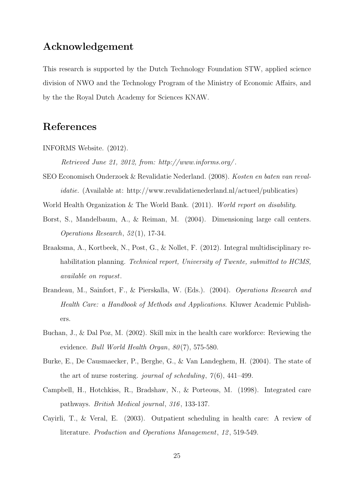## Acknowledgement

This research is supported by the Dutch Technology Foundation STW, applied science division of NWO and the Technology Program of the Ministry of Economic Affairs, and by the the Royal Dutch Academy for Sciences KNAW.

### References

INFORMS Website. (2012).

*Retrieved June 21, 2012, from: http://www.informs.org/* .

SEO Economisch Onderzoek & Revalidatie Nederland. (2008). *Kosten en baten van revalidatie.* (Available at: http://www.revalidatienederland.nl/actueel/publicaties)

World Health Organization & The World Bank. (2011). *World report on disability*.

- Borst, S., Mandelbaum, A., & Reiman, M. (2004). Dimensioning large call centers. *Operations Research*, *52* (1), 17-34.
- Braaksma, A., Kortbeek, N., Post, G., & Nollet, F. (2012). Integral multidisciplinary rehabilitation planning. *Technical report, University of Twente, submitted to HCMS, available on request*.
- Brandeau, M., Sainfort, F., & Pierskalla, W. (Eds.). (2004). *Operations Research and Health Care: a Handbook of Methods and Applications*. Kluwer Academic Publishers.
- Buchan, J., & Dal Poz, M. (2002). Skill mix in the health care workforce: Reviewing the evidence. *Bull World Health Organ*, *80* (7), 575-580.
- Burke, E., De Causmaecker, P., Berghe, G., & Van Landeghem, H. (2004). The state of the art of nurse rostering. *journal of scheduling*, *7* (6), 441–499.
- Campbell, H., Hotchkiss, R., Bradshaw, N., & Porteous, M. (1998). Integrated care pathways. *British Medical journal*, *316* , 133-137.
- Cayirli, T., & Veral, E. (2003). Outpatient scheduling in health care: A review of literature. *Production and Operations Management*, *12* , 519-549.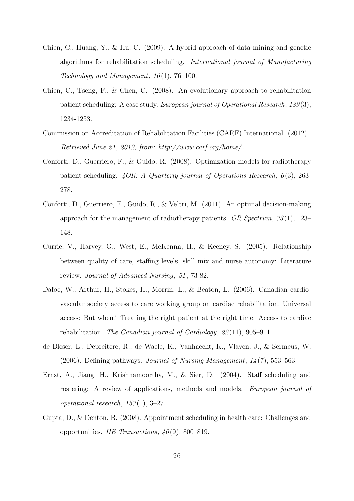- Chien, C., Huang, Y., & Hu, C. (2009). A hybrid approach of data mining and genetic algorithms for rehabilitation scheduling. *International journal of Manufacturing Technology and Management*, *16* (1), 76–100.
- Chien, C., Tseng, F., & Chen, C. (2008). An evolutionary approach to rehabilitation patient scheduling: A case study. *European journal of Operational Research*, *189* (3), 1234-1253.
- Commission on Accreditation of Rehabilitation Facilities (CARF) International. (2012). *Retrieved June 21, 2012, from: http://www.carf.org/home/* .
- Conforti, D., Guerriero, F., & Guido, R. (2008). Optimization models for radiotherapy patient scheduling. *4OR: A Quarterly journal of Operations Research*, *6* (3), 263- 278.
- Conforti, D., Guerriero, F., Guido, R., & Veltri, M. (2011). An optimal decision-making approach for the management of radiotherapy patients. *OR Spectrum*, *33* (1), 123– 148.
- Currie, V., Harvey, G., West, E., McKenna, H., & Keeney, S. (2005). Relationship between quality of care, staffing levels, skill mix and nurse autonomy: Literature review. *Journal of Advanced Nursing*, *51* , 73-82.
- Dafoe, W., Arthur, H., Stokes, H., Morrin, L., & Beaton, L. (2006). Canadian cardiovascular society access to care working group on cardiac rehabilitation. Universal access: But when? Treating the right patient at the right time: Access to cardiac rehabilitation. *The Canadian journal of Cardiology*, *22* (11), 905–911.
- de Bleser, L., Depreitere, R., de Waele, K., Vanhaecht, K., Vlayen, J., & Sermeus, W. (2006). Defining pathways. *Journal of Nursing Management*, *14* (7), 553–563.
- Ernst, A., Jiang, H., Krishnamoorthy, M., & Sier, D. (2004). Staff scheduling and rostering: A review of applications, methods and models. *European journal of operational research*, *153* (1), 3–27.
- Gupta, D., & Denton, B. (2008). Appointment scheduling in health care: Challenges and opportunities. *IIE Transactions*, *40* (9), 800–819.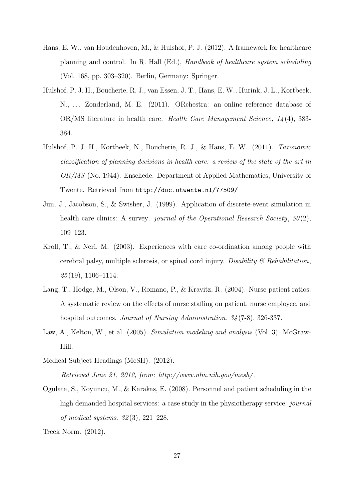- Hans, E. W., van Houdenhoven, M., & Hulshof, P. J. (2012). A framework for healthcare planning and control. In R. Hall (Ed.), *Handbook of healthcare system scheduling* (Vol. 168, pp. 303–320). Berlin, Germany: Springer.
- Hulshof, P. J. H., Boucherie, R. J., van Essen, J. T., Hans, E. W., Hurink, J. L., Kortbeek, N., ... Zonderland, M. E. (2011). ORchestra: an online reference database of OR/MS literature in health care. *Health Care Management Science*, *14* (4), 383- 384.
- Hulshof, P. J. H., Kortbeek, N., Boucherie, R. J., & Hans, E. W. (2011). *Taxonomic classification of planning decisions in health care: a review of the state of the art in OR/MS* (No. 1944). Enschede: Department of Applied Mathematics, University of Twente. Retrieved from http://doc.utwente.nl/77509/
- Jun, J., Jacobson, S., & Swisher, J. (1999). Application of discrete-event simulation in health care clinics: A survey. *journal of the Operational Research Society*,  $50(2)$ , 109–123.
- Kroll, T., & Neri, M. (2003). Experiences with care co-ordination among people with cerebral palsy, multiple sclerosis, or spinal cord injury. *Disability & Rehabilitation*, *25* (19), 1106–1114.
- Lang, T., Hodge, M., Olson, V., Romano, P., & Kravitz, R. (2004). Nurse-patient ratios: A systematic review on the effects of nurse staffing on patient, nurse employee, and hospital outcomes. *Journal of Nursing Administration*, *34* (7-8), 326-337.
- Law, A., Kelton, W., et al. (2005). *Simulation modeling and analysis* (Vol. 3). McGraw-Hill.
- Medical Subject Headings (MeSH). (2012). *Retrieved June 21, 2012, from: http://www.nlm.nih.gov/mesh/* .
- Ogulata, S., Koyuncu, M., & Karakas, E. (2008). Personnel and patient scheduling in the high demanded hospital services: a case study in the physiotherapy service. *journal of medical systems*, *32* (3), 221–228.
- Treek Norm. (2012).